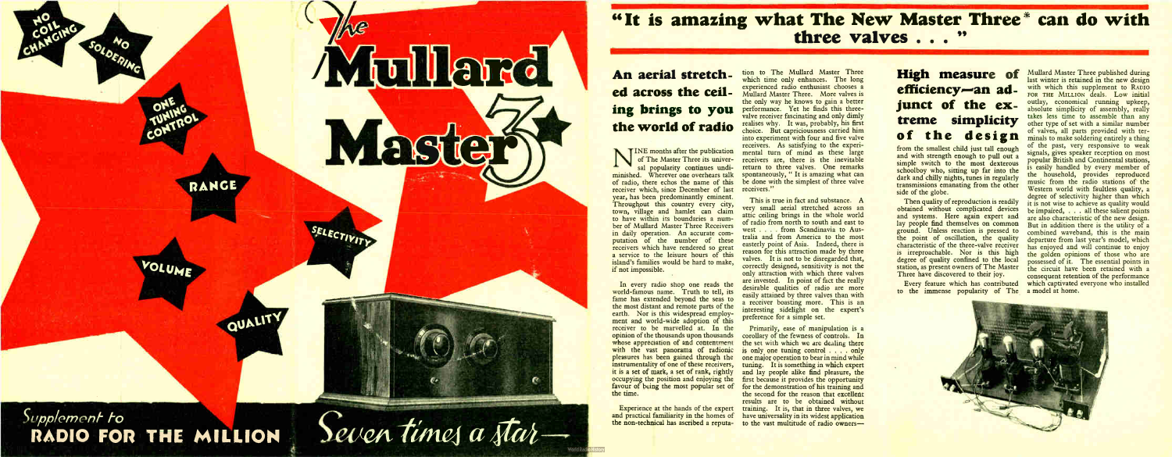# An aerial stretched across the ceiling brings to you the world of radio

N INE months after the publication<br>of The Master Three its univer-<br>sal popularity continues undiof The Master Three its universal popularity continues undiminished. Wherever one overhears talk of radio, there echos the name of this receiver which, since December of last year, has been predominantly eminent. Throughout this country every city, town, village and hamlet can claim to have within its boundaries a number of Mullard Master Three Receivers in daily operation. An accurate computation of the number of these receivers which have rendered so great a service to the leisure hours of this island's families would be hard to make,

'



# "It is amazing what The New Master Three' can do with three valves . . . "

In every radio shop one reads the world-famous name. Truth to tell, its fame has extended beyond the seas to the most distant and remote parts of the earth. Nor is this widespread employment and world-wide adoption of this receiver to be marvelled at. In the opinion of the thousands upon thousands whose appreciation of and contentment with the vast panorama of radionic pleasures has been gained through the instrumentality of one of these receivers, it is a set of mark, a set of rank, rightly occupying the position and enjoying the favour of being the most popular set of

Experience at the hands of the expert

tion to The Mullard Master Three which time only enhances. The long experienced radio enthusiast chooses a Mullard Master Three. More valves is the only way he knows to gain a better performance. Yet he finds this threevalve receiver fascinating and only dimly realises why. It was, probably, his first choice. But capriciousness carried him into experiment with four and five valve receivers. As satisfying to the experimental turn of mind as these large receivers are, there is the inevitable return to three valves. One remarks spontaneously, " It is amazing what can be done with the simplest of three valve receivers."

> Then quality of reproduction is readily obtained without complicated devices and systems. Here again expert and lay people find themselves on common ground. Unless reaction is pressed to the point of oscillation, the quality characteristic of the three-valve receiver is irreproachable. Nor is this high degree of quality confined to the local station, as present owners of The Master Three have discovered to their joy.

Mullard Master Three published during last winter is retained in the new design with which this supplement to RADIO FOR THE MILLION deals. Low initial outlay, economical running upkeep, absolute simplicity of assembly, really takes less time to assemble than any other type of set with a similar number of valves, all parts provided with ter-minals to make soldering entirely a thing of the past, very responsive to weak signals, gives speaker reception on most popular British and Continental stations, is easily handled by every member of the household, provides reproduced music from the radio stations of' the Western world with faultless quality, a degree of selectivity higher than which it is not wise to achieve as quality would be impaired, . . . all these salient points are also characteristic of the new design. But in addition there is the utility of a combined waveband, this is the main departure from last year's model, which has enjoyed and will continue to enjoy the golden opinions of those who are possessed of it. The essential points in the circuit have been retained with a consequent retention of the performance which captivated everyone who installed



and practical familiarity in the homes of have universality in its widest application the non-technical has ascribed a reputa-to the vast multitude of radio owners— Primarily, ease of manipulation is a corollary of the fewness of controls. In the set with which we are dealing there is only one tuning control . . . . only one major operation to bear in mind while tuning. It is something in which expert and lay people alike find pleasure, the first because it provides the opportunity for the demonstration of his training and the second for the reason that excellent results are to be obtained without training. It is, that in three valves, we

This is true in fact and substance. A very small aerial stretched across an attic ceiling brings in the whole world of radio from north to south and east to west . . . from Scandinavia to Australia and from America to the most easterly point of Asia. Indeed, there is reason for this attraction made by three valves. It is not to be disregarded that, correctly designed, sensitivity is not the only attraction with which three valves are invested. In point of fact the really desirable qualities of radio are more easily attained by three valves than with a receiver boasting more. This is an interesting sidelight on the expert's preference for a simple set.

# High measure of efficiency—an adjunct of the extreme simplicity of the design

from the smallest child just tall enough and with strength enough to pull out a simple switch to the most dexterous schoolboy who, sitting up far into the dark and chilly nights, tunes in regularly transmissions emanating from the other side of the globe.

Every feature which has contributed to the immense popularity of The a model at home.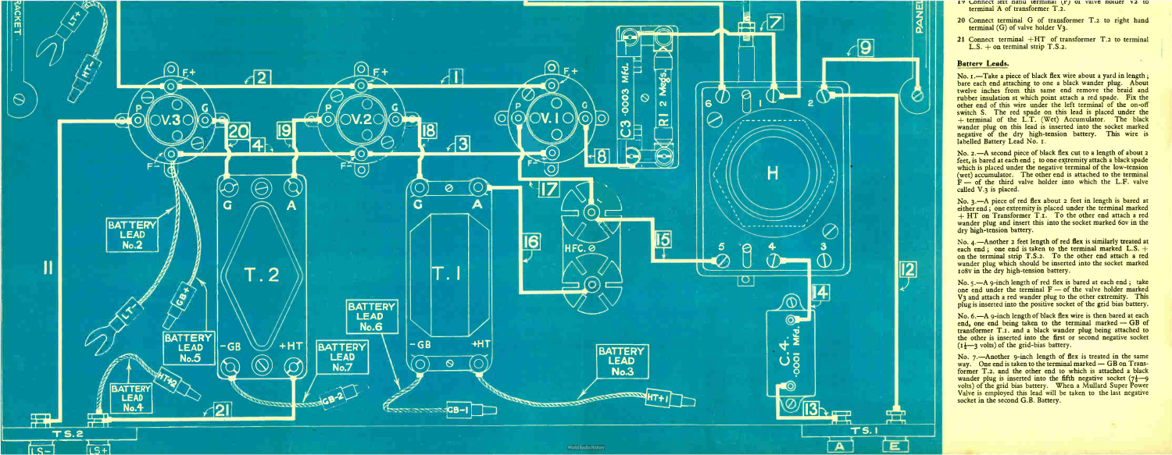

- 19 Connect left hand terminal (P) of valve holder v2 to terminal A of transformer T.2.
- 20 Connect terminal G of transformer T.2 to right hand terminal  $(G)$  of valve holder  $V_3$ .
- 21 Connect terminal  $+HT$  of transformer T.2 to terminal  $L.S. + on$  terminal strip T.S.2.

#### Battery Leads.

No. I.—Take a piece of black flex wire about a yard in length; bare each end attaching to one a black wander plug. About twelve inches from this same end remove the braid and rubber insulation at which point attach a red spade. Fix the other end of this wire under the left terminal of the on-off switch S. The red spade on this lead is placed under the terminal of the  $L, I$ . (Wet) Accumulator. The black wander plug on this lead is inserted into the socket marked negative of the dry high-tension battery. This wire is labelled Battery Lead No. r.

No. 2.-A second piece of black flex cut to a length of about 2 feet, is bared at each end ; to one extremity attach a black spade which is placed under the negative terminal of the low-tension (wet) accumulator. The other end is attached to the terminal  $F -$  of the third valve holder into which the L.F. valve called V.3 is placed.

No.  $5. - A$  9-inch length of red flex is bared at each end; take one end under the terminal  $F$  — of the valve holder marked V3 and attach a red wander plug to the other extremity. This plug is inserted into the positive socket of the grid bias battery.

No. 6.—A 9-inch length of black flex wire is then bared at each end, one end being taken to the terminal marked — GB of transformer T.I. and a black wander plug being attached to the other is inserted into the first or second negative socket  $(i\frac{1}{2}$  volts) of the grid-bias battery.

No. 3.—A piece of red flex about 2 feet in length is bared at either end; one extremity is placed under the terminal marked  $+ HT$  on Transformer T.I. To the other end attach a red wander plug and insert this into the socket marked 6ov in the dry high-tension battery.

No. 4.—Another 2 feet length of red flex is similarly treated at each end; one end is taken to the terminal marked  $L.S. +$ on the terminal strip T.S.2. To the other end attach a red wander plug which should be inserted into the socket marked ro8v in the dry high-tension battery.

No. 7.—Another 9-inch length of flex is treated in the same way. One end is taken to the terminal marked  $-$  GB on Transformer T.2. and the other end to which is attached a black wander plug is inserted into the fifth negative socket  $(7\frac{1}{2}-9)$ volts) of the grid bias battery. When a Mullard Super Power Valve is employed this lead will be taken to the last negative socket in the second G.B. Battery.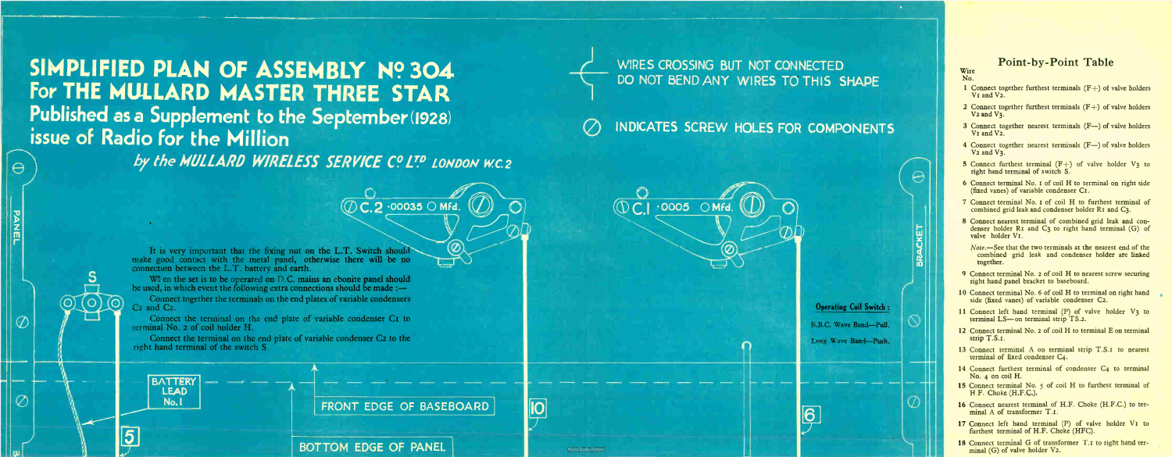SIMPLIFIED PLAN OF ASSEMBLY Nº 304 For THE MULLARD MASTER THREE STAR Published as a Supplement to the September (1928) issue of Radio for the Million

 $\Theta$ 

**Leminaceuse** 

 $\circledcirc$ 

 $\mathrm{O})$  (C

It is very important that the fixing nut on the L.T. Switch should make good contact with the metal panel, otherwise there will be no connection between the L.T. battery and earth.

When the set is to be operated on D.C. mains an ebonite panel should be used, in which event the following extra connections should be made :—

Connect together the terminals on the end plates of variable condensers C<sub>I</sub> and C<sub>2</sub>.

Connect the terminal on the end plate of variable condenser C2 to the right hand terminal of the switch S.

**BATTERY** LEAD No.1

 $\overline{\mathbf{5}}$ 

# WIRES CROSSING BUT NOT CONNECTED DO NOT BEND ANY WIRES TO THIS SHAPE

Connect the terminal on the end plate of variable condenser CI to terminal No. 2 of coil holder H.

— 1111.1»

by the MULLARD WIRELESS SERVICE Cº LT.P LONDON W.C.2



 $(\mathbb{O} \subset 2$  .00035  $\odot$  Mfd.  $(\mathbb{O})$ 

 $\left( \mathbb{Q}\right)$ 

BOTTOM EDGE OF PANEL

# INDICATES SCREW HOLES FOR COMPONENTS

 $\boldsymbol{\varnothing}$ 



101

 $\overline{\textcircled{C}}$   $\overline{\textcircled{1}}$   $\overline{\textcircled{0005}}$   $\overline{\textcircled{N}}$  Mfd.

**World Radio History** 



B.B.C. Wave Band—P

Long Wave Band—Push,

6

#### Point-by-Point Table

Lii

 $\mathbf{u}$ 

- 1 Connect together furthest terminals  $(F+)$  of valve holders V<sub>I</sub> and V<sub>2</sub>.
- 2 Connect together furthest terminals  $(F+)$  of valve holders V<sub>2</sub> and V<sub>3</sub>.
- 3 Connect together nearest terminals (F-) of valve holders V<sub>I</sub> and V<sub>2</sub>.
- 4 Connect together nearest terminals (F-) of valve holders V<sub>2</sub> and V<sub>3</sub>.
- 5 Connect furthest terminal  $(F+)$  of valve holder  $V_3$  to right hand terminal of switch S.
- 6 Connect terminal No. i of coil H to terminal on right side (fixed vanes) of variable condenser Cr.
- 7 Connect terminal No. 1 of coil H to furthest terminal of combined grid leak and condenser holder RI and C3.
- 8 Connect nearest terminal of combined grid leak and condenser holder  $RI$  and  $C3$  to right hand terminal  $(G)$  of valve holder VI.
- Note.— See that the two terminals at the nearest end of the combined grid leak and condenser holder are linked together.
- 9 Connect terminal No. 2 of coil H to nearest screw securing right hand panel bracket to baseboard.
- 10 Connect terminal No. 6 of coil H to terminal on right hand side (fixed vanes) of variable condenser C2.
- 11 Connect left hand terminal ( P) of valve holder V3 to terminal LS— on terminal strip TS.2.
- 12 Connect terminal No. 2 of coil H to terminal E on terminal strip T.S.I.
- 13 Connect terminal A on terminal strip T.S.I to nearest terminal of fixed condenser C4.
- 14 Connect furthest terminal of condenser C4 to terminal No.  $\alpha$  on coil H.
- 15 Connect terminal No. 5 of coil H to furthest terminal of H.F. Choke (H.F.C.).
- 16 Connect nearest terminal of H.F. Choke (H.F.C.) to terminal A of transformer T.I.
- 17 Connect left hand terminal (P) of valve holder VI to furthest terminal of H.F. Choke (HFC).
- 18 Connect terminal G of transformer T.I to right hand terminal  $(G)$  of valve holder  $V_2$ .

#### Wire No.

 $\Theta$